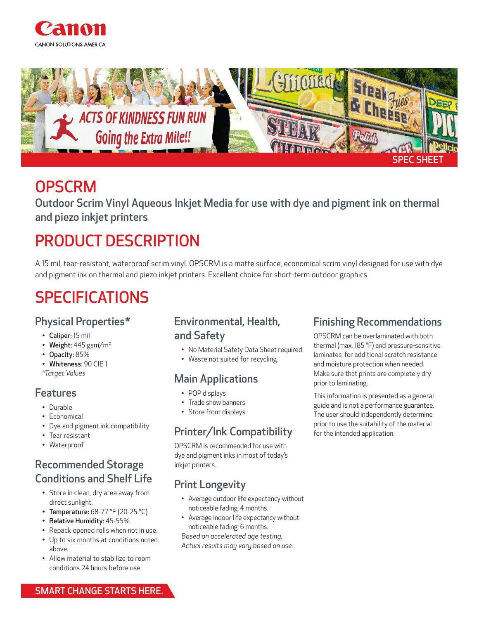



## **OPSCRM**

Outdoor Scrim Vinyl Aqueous Inkjet Media for use with dye and pigment ink on thermal and piezo inkjet printers

# PRODUCT DESCRIPTION

A 15 mil, tear-resistant, waterproof scrim vinyl. OPSCRM is a matte surface, economical scrim vinyl designed for use with dye and pigment ink on thermal and piezo inkjet printers. Excellent choice for short-term outdoor graphics.

# SPECIFICATIONS

#### Physical Properties\*

- Caliper: 15 mil
- Weight: 445 gsm/m<sup>2</sup>
- Opacity: 85%
- Whiteness: 90 CIE 1 *\*Target Values*

#### Features

- Durable
- Economical
- Dye and pigment ink compatibility
- Tear resistant
- Waterproof

### Recommended Storage Conditions and Shelf Life

- Store in clean, dry area away from direct sunlight.
- Temperature: 68-77 °F (20-25 °C)
- Relative Humidity: 45-55%
- Repack opened rolls when not in use.
- Up to six months at conditions noted above.
- Allow material to stabilize to room conditions 24 hours before use.

#### Environmental, Health, and Safety

- No Material Safety Data Sheet required.
- Waste not suited for recycling.

### Main Applications

- POP displays
- Trade show banners
- Store front displays

### Printer/Ink Compatibility

OPSCRM is recommended for use with dye and pigment inks in most of today's inkjet printers.

### Print Longevity

- Average outdoor life expectancy without noticeable fading: 4 months.
- Average indoor life expectancy without noticeable fading: 6 months.

*Based on accelerated age testing. Actual results may vary based on use.*

#### Finishing Recommendations

OPSCRM can be overlaminated with both thermal (max. 185 °F) and pressure-sensitive laminates, for additional scratch resistance and moisture protection when needed. Make sure that prints are completely dry prior to laminating.

This information is presented as a general guide and is not a performance guarantee. The user should independently determine prior to use the suitability of the material for the intended application.